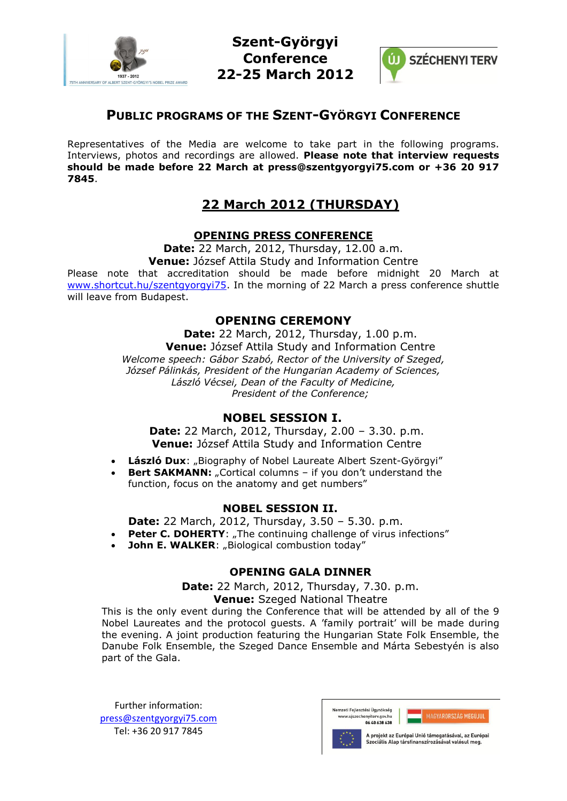



## **PUBLIC PROGRAMS OF THE SZENT-GYÖRGYI CONFERENCE**

Representatives of the Media are welcome to take part in the following programs. Interviews, photos and recordings are allowed. **Please note that interview requests should be made before 22 March at press@szentgyorgyi75.com or +36 20 917 7845**.

## **22 March 2012 (THURSDAY)**

## **OPENING PRESS CONFERENCE**

**Date:** 22 March, 2012, Thursday, 12.00 a.m. **Venue:** József Attila Study and Information Centre

Please note that accreditation should be made before midnight 20 March at [www.shortcut.hu/szentgyorgyi75.](http://www.shortcut.hu/szentgyorgyi75) In the morning of 22 March a press conference shuttle will leave from Budapest.

#### **OPENING CEREMONY**

**Date:** 22 March, 2012, Thursday, 1.00 p.m. **Venue:** József Attila Study and Information Centre *Welcome speech: Gábor Szabó, Rector of the University of Szeged, József Pálinkás, President of the Hungarian Academy of Sciences, László Vécsei, Dean of the Faculty of Medicine, President of the Conference;*

## **NOBEL SESSION I.**

**Date:** 22 March, 2012, Thursday, 2.00 – 3.30. p.m. **Venue:** József Attila Study and Information Centre

- László Dux: "Biography of Nobel Laureate Albert Szent-Györgyi"
- **Bert SAKMANN:** "Cortical columns if you don't understand the function, focus on the anatomy and get numbers"

#### **NOBEL SESSION II.**

**Date:** 22 March, 2012, Thursday, 3.50 – 5.30. p.m.

- **Peter C. DOHERTY:** "The continuing challenge of virus infections"
- **John E. WALKER:** "Biological combustion today"

#### **OPENING GALA DINNER**

**Date:** 22 March, 2012, Thursday, 7.30. p.m. **Venue:** Szeged National Theatre

This is the only event during the Conference that will be attended by all of the 9 Nobel Laureates and the protocol guests. A 'family portrait' will be made during the evening. A joint production featuring the Hungarian State Folk Ensemble, the Danube Folk Ensemble, the Szeged Dance Ensemble and Márta Sebestyén is also part of the Gala.

Further information: press@szentgyorgyi75.com Tel: +36 20 917 7845